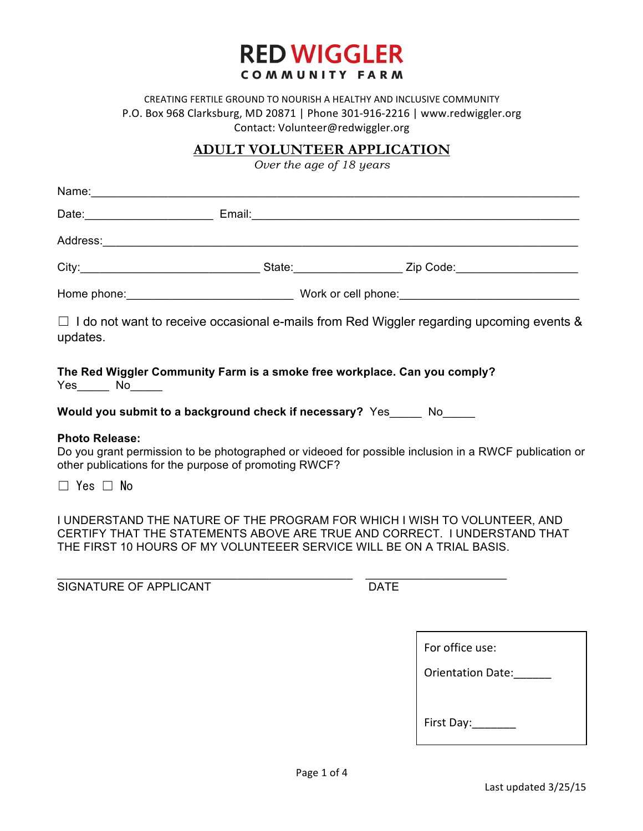

#### CREATING FERTILE GROUND TO NOURISH A HEALTHY AND INCLUSIVE COMMUNITY P.O. Box 968 Clarksburg, MD 20871 | Phone 301-916-2216 | www.redwiggler.org Contact: Volunteer@redwiggler.org

# **ADULT VOLUNTEER APPLICATION**

*Over the age of 18 years*

|                       | Name: Name: Name: Name: Name: Name: Name: Name: Name: Name: Name: Name: Name: Name: Name: Name: Name: Name: Name: Name: Name: Name: Name: Name: Name: Name: Name: Name: Name: Name: Name: Name: Name: Name: Name: Name: Name: |                                                                                                                                                        |
|-----------------------|-------------------------------------------------------------------------------------------------------------------------------------------------------------------------------------------------------------------------------|--------------------------------------------------------------------------------------------------------------------------------------------------------|
|                       |                                                                                                                                                                                                                               |                                                                                                                                                        |
|                       |                                                                                                                                                                                                                               |                                                                                                                                                        |
|                       |                                                                                                                                                                                                                               |                                                                                                                                                        |
|                       |                                                                                                                                                                                                                               |                                                                                                                                                        |
| updates.              |                                                                                                                                                                                                                               | $\Box$ I do not want to receive occasional e-mails from Red Wiggler regarding upcoming events &                                                        |
|                       | The Red Wiggler Community Farm is a smoke free workplace. Can you comply?                                                                                                                                                     |                                                                                                                                                        |
|                       | Would you submit to a background check if necessary? Yes Now Now Now the Read                                                                                                                                                 |                                                                                                                                                        |
| <b>Photo Release:</b> | other publications for the purpose of promoting RWCF?                                                                                                                                                                         | Do you grant permission to be photographed or videoed for possible inclusion in a RWCF publication or                                                  |
| $\Box$ Yes $\Box$ No  |                                                                                                                                                                                                                               |                                                                                                                                                        |
|                       | THE FIRST 10 HOURS OF MY VOLUNTEEER SERVICE WILL BE ON A TRIAL BASIS.                                                                                                                                                         | I UNDERSTAND THE NATURE OF THE PROGRAM FOR WHICH I WISH TO VOLUNTEER, AND<br>CERTIFY THAT THE STATEMENTS ABOVE ARE TRUE AND CORRECT. I UNDERSTAND THAT |

\_\_\_\_\_\_\_\_\_\_\_\_\_\_\_\_\_\_\_\_\_\_\_\_\_\_\_\_\_\_\_\_\_\_\_\_\_\_\_\_\_\_\_\_\_\_ \_\_\_\_\_\_\_\_\_\_\_\_\_\_\_\_\_\_\_\_\_\_

SIGNATURE OF APPLICANT DATE

| For office use:          |  |  |
|--------------------------|--|--|
| <b>Orientation Date:</b> |  |  |
|                          |  |  |
| First Day:               |  |  |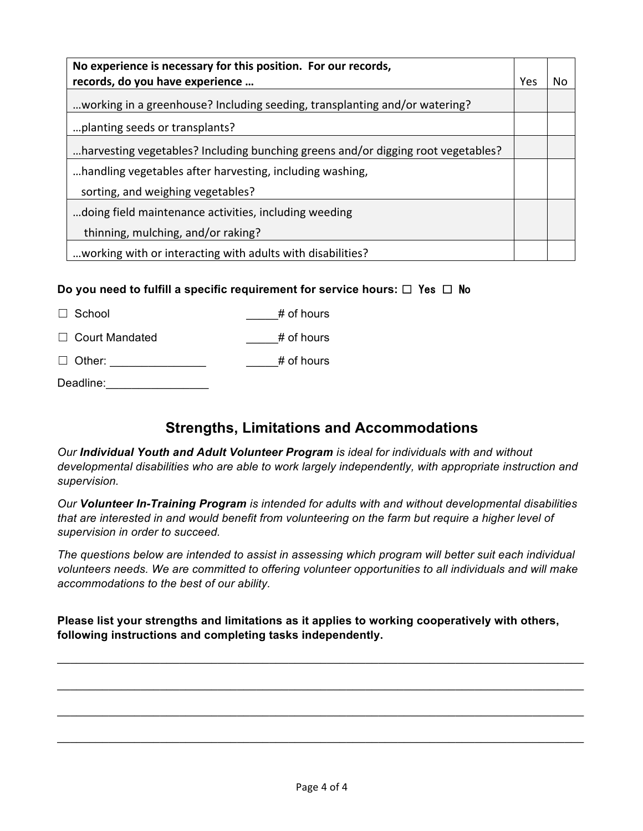| No experience is necessary for this position. For our records,<br>records, do you have experience |     | N٥ |
|---------------------------------------------------------------------------------------------------|-----|----|
|                                                                                                   | Yes |    |
| working in a greenhouse? Including seeding, transplanting and/or watering?                        |     |    |
| planting seeds or transplants?                                                                    |     |    |
| harvesting vegetables? Including bunching greens and/or digging root vegetables?                  |     |    |
| handling vegetables after harvesting, including washing,                                          |     |    |
| sorting, and weighing vegetables?                                                                 |     |    |
| doing field maintenance activities, including weeding                                             |     |    |
| thinning, mulching, and/or raking?                                                                |     |    |
| working with or interacting with adults with disabilities?                                        |     |    |

#### **Do you need to fulfill a specific requirement for service hours:** ☐ Yes ☐ No

 $\Box$  School  $\qquad$   $\qquad$   $\qquad$   $\qquad$   $\qquad$   $\qquad$   $\qquad$   $\qquad$   $\qquad$   $\qquad$   $\qquad$   $\qquad$   $\qquad$   $\qquad$   $\qquad$   $\qquad$   $\qquad$   $\qquad$   $\qquad$   $\qquad$   $\qquad$   $\qquad$   $\qquad$   $\qquad$   $\qquad$   $\qquad$   $\qquad$   $\qquad$   $\qquad$   $\qquad$   $\qquad$   $\qquad$   $\qquad$   $\qquad$   $\qquad$ 

□ Court Mandated # of hours

☐ Other: \_\_\_\_\_\_\_\_\_\_\_\_\_\_\_ \_\_\_\_\_# of hours

Deadline:

# **Strengths, Limitations and Accommodations**

*Our Individual Youth and Adult Volunteer Program is ideal for individuals with and without developmental disabilities who are able to work largely independently, with appropriate instruction and supervision.* 

*Our Volunteer In-Training Program is intended for adults with and without developmental disabilities that are interested in and would benefit from volunteering on the farm but require a higher level of supervision in order to succeed.* 

*The questions below are intended to assist in assessing which program will better suit each individual volunteers needs. We are committed to offering volunteer opportunities to all individuals and will make accommodations to the best of our ability.* 

**Please list your strengths and limitations as it applies to working cooperatively with others, following instructions and completing tasks independently.** 

\_\_\_\_\_\_\_\_\_\_\_\_\_\_\_\_\_\_\_\_\_\_\_\_\_\_\_\_\_\_\_\_\_\_\_\_\_\_\_\_\_\_\_\_\_\_\_\_\_\_\_\_\_\_\_\_\_\_\_\_\_\_\_\_\_\_\_\_\_\_\_\_\_\_\_\_\_\_\_\_\_\_

\_\_\_\_\_\_\_\_\_\_\_\_\_\_\_\_\_\_\_\_\_\_\_\_\_\_\_\_\_\_\_\_\_\_\_\_\_\_\_\_\_\_\_\_\_\_\_\_\_\_\_\_\_\_\_\_\_\_\_\_\_\_\_\_\_\_\_\_\_\_\_\_\_\_\_\_\_\_\_\_\_\_

\_\_\_\_\_\_\_\_\_\_\_\_\_\_\_\_\_\_\_\_\_\_\_\_\_\_\_\_\_\_\_\_\_\_\_\_\_\_\_\_\_\_\_\_\_\_\_\_\_\_\_\_\_\_\_\_\_\_\_\_\_\_\_\_\_\_\_\_\_\_\_\_\_\_\_\_\_\_\_\_\_\_

\_\_\_\_\_\_\_\_\_\_\_\_\_\_\_\_\_\_\_\_\_\_\_\_\_\_\_\_\_\_\_\_\_\_\_\_\_\_\_\_\_\_\_\_\_\_\_\_\_\_\_\_\_\_\_\_\_\_\_\_\_\_\_\_\_\_\_\_\_\_\_\_\_\_\_\_\_\_\_\_\_\_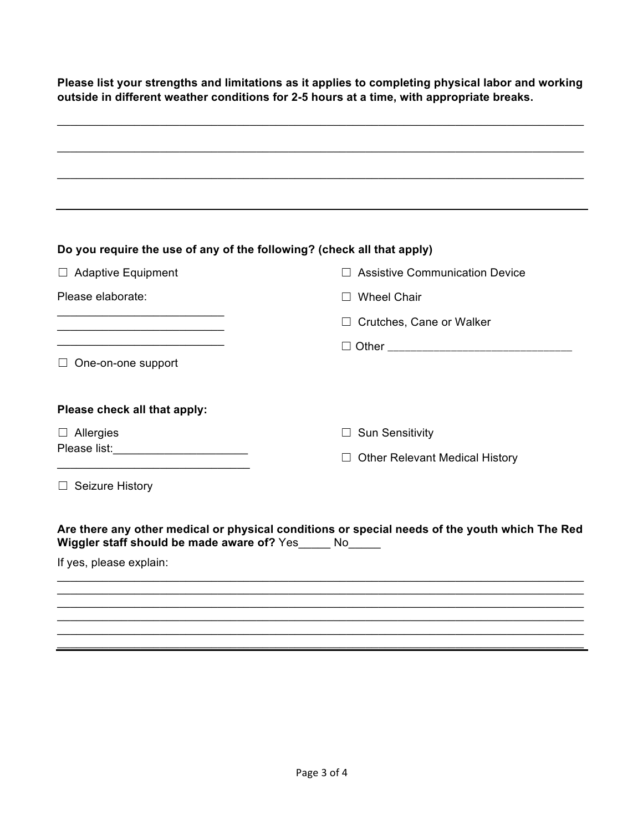**Please list your strengths and limitations as it applies to completing physical labor and working outside in different weather conditions for 2-5 hours at a time, with appropriate breaks.** 

| Do you require the use of any of the following? (check all that apply)         |                                                                                                |  |
|--------------------------------------------------------------------------------|------------------------------------------------------------------------------------------------|--|
| <b>Adaptive Equipment</b><br>$\Box$                                            | <b>Assistive Communication Device</b>                                                          |  |
| Please elaborate:                                                              | <b>Wheel Chair</b>                                                                             |  |
| the control of the control of the control of the control of the control of the | Crutches, Cane or Walker                                                                       |  |
|                                                                                |                                                                                                |  |
| $\Box$ One-on-one support                                                      |                                                                                                |  |
| Please check all that apply:                                                   |                                                                                                |  |
| $\Box$ Allergies                                                               | $\Box$ Sun Sensitivity                                                                         |  |
| Please list:_________________________                                          | $\Box$ Other Relevant Medical History                                                          |  |
| $\Box$ Seizure History                                                         |                                                                                                |  |
| Wiggler staff should be made aware of? Yes_____ No_____                        | Are there any other medical or physical conditions or special needs of the youth which The Red |  |
| If yes, please explain:                                                        |                                                                                                |  |
|                                                                                |                                                                                                |  |
|                                                                                |                                                                                                |  |
|                                                                                |                                                                                                |  |

\_\_\_\_\_\_\_\_\_\_\_\_\_\_\_\_\_\_\_\_\_\_\_\_\_\_\_\_\_\_\_\_\_\_\_\_\_\_\_\_\_\_\_\_\_\_\_\_\_\_\_\_\_\_\_\_\_\_\_\_\_\_\_\_\_\_\_\_\_\_\_\_\_\_\_\_\_\_\_\_\_\_